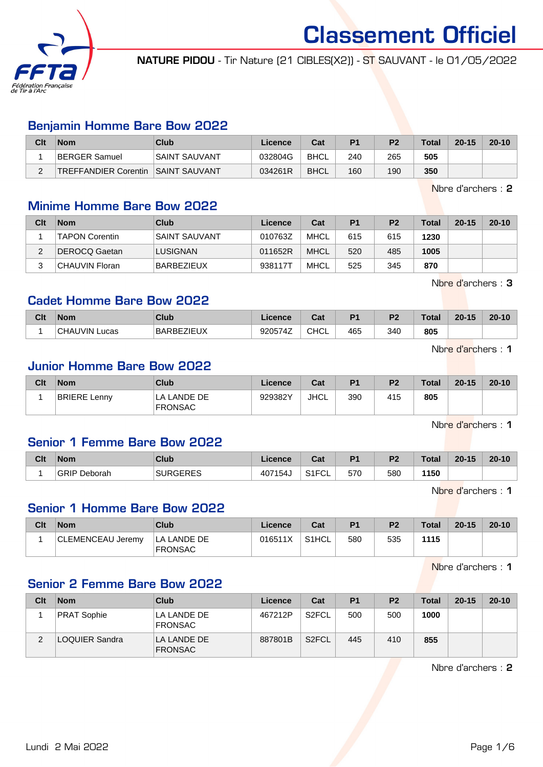

NATURE PIDOU - Tir Nature (21 CIBLES(X2)) - ST SAUVANT - le 01/05/2022

### Benjamin Homme Bare Bow 2022

| Clt | <b>Nom</b>                   | Club                 | Licence | Cat         | P <sub>1</sub> | P <sub>2</sub> | <b>Total</b> | $20 - 15$ | $20 - 10$ |
|-----|------------------------------|----------------------|---------|-------------|----------------|----------------|--------------|-----------|-----------|
|     | BERGER Samuel                | <b>SAINT SAUVANT</b> | 032804G | BHCL        | 240            | 265            | 505          |           |           |
| ⌒   | <b>ITREFFANDIER Corentin</b> | <b>SAINT SAUVANT</b> | 034261R | <b>BHCL</b> | 160            | 190            | 350          |           |           |

Nbre d'archers : 2

### Minime Homme Bare Bow 2022

| Clt | <b>Nom</b>            | Club                 | Licence | Cat         | P <sub>1</sub> | P <sub>2</sub> | <b>Total</b> | $20 - 15$ | $20 - 10$ |
|-----|-----------------------|----------------------|---------|-------------|----------------|----------------|--------------|-----------|-----------|
|     | <b>TAPON Corentin</b> | <b>SAINT SAUVANT</b> | 010763Z | <b>MHCL</b> | 615            | 615            | 1230         |           |           |
| ົ   | DEROCQ Gaetan         | LUSIGNAN             | 011652R | <b>MHCL</b> | 520            | 485            | 1005         |           |           |
| ີ   | CHAUVIN Floran        | <b>BARBEZIEUX</b>    | 938117T | <b>MHCL</b> | 525            | 345            | 870          |           |           |

Nbre d'archers : 3

### Cadet Homme Bare Bow 2022

| Clt | <b>Nom</b>                | Club              | Licence | Cat         | D <sub>4</sub> | D0  | Total | $20 - 15$ | $20 - 10$ |
|-----|---------------------------|-------------------|---------|-------------|----------------|-----|-------|-----------|-----------|
|     | <b>CHAUVIN I</b><br>Lucas | <b>BARBEZIEUX</b> | 920574Z | <b>CHCL</b> | 465            | 340 | 805   |           |           |

Nbre d'archers : 1

### Junior Homme Bare Bow 2022

| Clt | <b>Nom</b>          | Club                          | Licence | Cat  | P <sub>1</sub> | P <sub>2</sub> | <b>Total</b> | $20 - 15$ | $20 - 10$ |
|-----|---------------------|-------------------------------|---------|------|----------------|----------------|--------------|-----------|-----------|
|     | <b>BRIERE Lenny</b> | LA LANDE DE<br><b>FRONSAC</b> | 929382Y | JHCL | 390            | 415            | 805          |           |           |

Nbre d'archers : 1

### Senior 1 Femme Bare Bow 2022

| Clt | <b>Nom</b>             | Club            | Licence | ີາ<br>uai                            | D <sub>4</sub> | D.  | <b>Total</b> | $20 - 15$ | $20 - 10$ |
|-----|------------------------|-----------------|---------|--------------------------------------|----------------|-----|--------------|-----------|-----------|
|     | <b>GRIP</b><br>Deborah | <b>SURGERES</b> | 407154J | $\sim$ $\sim$ $\sim$<br>'٦F ت<br>∵∪∟ | 570            | 580 | 1150         |           |           |

Nbre d'archers : 1

#### Senior 1 Homme Bare Bow 2022

| Clt | <b>Nom</b>        | Club                                 | <b>Licence</b> | Cat     | P <sub>1</sub> | P <sub>2</sub> | <b>Total</b> | $20 - 15$ | $20 - 10$ |
|-----|-------------------|--------------------------------------|----------------|---------|----------------|----------------|--------------|-----------|-----------|
|     | CLEMENCEAU Jeremy | <b>LA LANDE DE</b><br><b>FRONSAC</b> | 016511X        | ' S1HCL | 580            | 535            | 1115         |           |           |

Nbre d'archers : 1

# Senior 2 Femme Bare Bow 2022

| Clt | <b>Nom</b>         | Club                          | Licence | Cat                | P <sub>1</sub> | P <sub>2</sub> | <b>Total</b> | $20 - 15$ | $20 - 10$ |
|-----|--------------------|-------------------------------|---------|--------------------|----------------|----------------|--------------|-----------|-----------|
|     | <b>PRAT Sophie</b> | LA LANDE DE<br><b>FRONSAC</b> | 467212P | S <sub>2</sub> FCL | 500            | 500            | 1000         |           |           |
|     | LOQUIER Sandra     | LA LANDE DE<br><b>FRONSAC</b> | 887801B | S <sub>2</sub> FCL | 445            | 410            | 855          |           |           |

Nbre d'archers : 2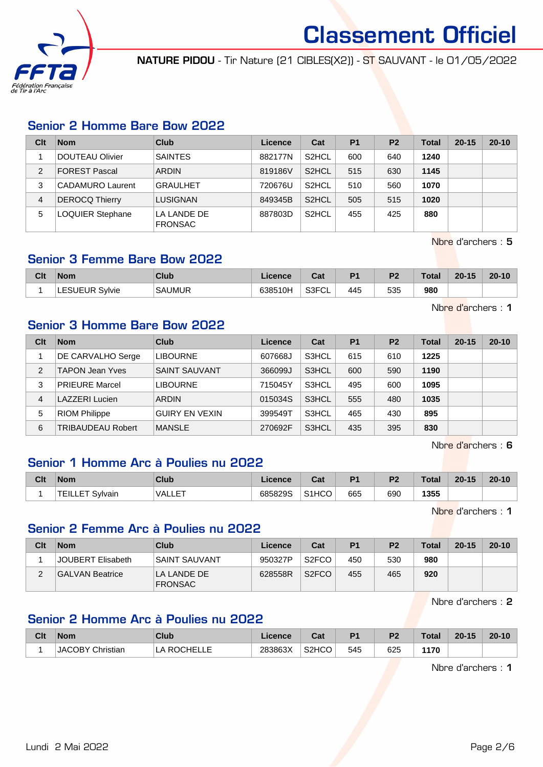

NATURE PIDOU - Tir Nature (21 CIBLES(X2)) - ST SAUVANT - le 01/05/2022

# Senior 2 Homme Bare Bow 2022

| Clt | <b>Nom</b>              | Club                          | Licence | Cat                | <b>P1</b> | P <sub>2</sub> | Total | $20 - 15$ | $20 - 10$ |
|-----|-------------------------|-------------------------------|---------|--------------------|-----------|----------------|-------|-----------|-----------|
|     | DOUTEAU Olivier         | <b>SAINTES</b>                | 882177N | S <sub>2</sub> HCL | 600       | 640            | 1240  |           |           |
| 2   | <b>FOREST Pascal</b>    | <b>ARDIN</b>                  | 819186V | S <sub>2</sub> HCL | 515       | 630            | 1145  |           |           |
| 3   | CADAMURO Laurent        | <b>GRAULHET</b>               | 720676U | S <sub>2</sub> HCL | 510       | 560            | 1070  |           |           |
| 4   | <b>DEROCQ Thierry</b>   | LUSIGNAN                      | 849345B | S <sub>2</sub> HCL | 505       | 515            | 1020  |           |           |
| 5   | <b>LOQUIER Stephane</b> | LA LANDE DE<br><b>FRONSAC</b> | 887803D | S <sub>2</sub> HCL | 455       | 425            | 880   |           |           |

Nbre d'archers : 5

Nbre d'archers : 1

### Senior 3 Femme Bare Bow 2022

| Clt | <b>Nom</b>               | <b>Club</b>   | icence  | ו ה<br>uai           | D <sub>1</sub> | D <sub>2</sub> | Total | $20 - 15$ | $20 - 10$ |
|-----|--------------------------|---------------|---------|----------------------|----------------|----------------|-------|-----------|-----------|
|     | <b>LESUEUR</b><br>Sylvie | <b>SAUMUR</b> | 638510H | 0.0001<br>ుర్'<br>◡∟ | 445            | 535            | 980   |           |           |

Senior 3 Homme Bare Bow 2022

| Clt | <b>Nom</b>               | Club                  | Licence | Cat   | <b>P1</b> | P <sub>2</sub> | Total | $20 - 15$ | $20 - 10$ |
|-----|--------------------------|-----------------------|---------|-------|-----------|----------------|-------|-----------|-----------|
|     | DE CARVALHO Serge        | <b>LIBOURNE</b>       | 607668J | S3HCL | 615       | 610            | 1225  |           |           |
| 2   | <b>TAPON Jean Yves</b>   | <b>SAINT SAUVANT</b>  | 366099J | S3HCL | 600       | 590            | 1190  |           |           |
| 3   | <b>PRIEURE Marcel</b>    | <b>LIBOURNE</b>       | 715045Y | S3HCL | 495       | 600            | 1095  |           |           |
| 4   | LAZZERI Lucien           | <b>ARDIN</b>          | 015034S | S3HCL | 555       | 480            | 1035  |           |           |
| 5   | <b>RIOM Philippe</b>     | <b>GUIRY EN VEXIN</b> | 399549T | S3HCL | 465       | 430            | 895   |           |           |
| 6   | <b>TRIBAUDEAU Robert</b> | <b>MANSLE</b>         | 270692F | S3HCL | 435       | 395            | 830   |           |           |

Nbre d'archers : 6

### Senior 1 Homme Arc à Poulies nu 2022

| Clt | <b>Nom</b>         | Club                | Licence | $R_{\rm{eff}}$<br>⊍d | D <sub>4</sub> | D <sub>2</sub> | <b>Total</b> | $20 - 15$ | $20 - 10$ |
|-----|--------------------|---------------------|---------|----------------------|----------------|----------------|--------------|-----------|-----------|
|     | ᆍᇀ<br>Svlvain<br>. | $E = T$<br>™VALLE . | 685829S | S <sub>1</sub> HCO   | 665            | 690            | 1355         |           |           |

Nbre d'archers : 1

### Senior 2 Femme Arc à Poulies nu 2022

| Clt | <b>Nom</b>        | Club                          | Licence | Cat                | P1  | P <sub>2</sub> | <b>Total</b> | $20 - 15$ | $20 - 10$ |
|-----|-------------------|-------------------------------|---------|--------------------|-----|----------------|--------------|-----------|-----------|
|     | JOUBERT Elisabeth | SAINT SAUVANT                 | 950327P | S <sub>2</sub> FCO | 450 | 530            | 980          |           |           |
|     | GALVAN Beatrice   | LA LANDE DE<br><b>FRONSAC</b> | 628558R | S <sub>2</sub> FCO | 455 | 465            | 920          |           |           |

Nbre d'archers : 2

# Senior 2 Homme Arc à Poulies nu 2022

| Clt | <b>Nom</b>              | Club          | .icence | Cat                | D <sub>4</sub> | n.  | $\tau$ otal | $20 - 15$ | $20 - 10$ |
|-----|-------------------------|---------------|---------|--------------------|----------------|-----|-------------|-----------|-----------|
|     | <b>JACOBY Christian</b> | <b>ROCHEL</b> | 283863X | S <sub>2</sub> HCO | 545            | 625 | 1170        |           |           |

Nbre d'archers : 1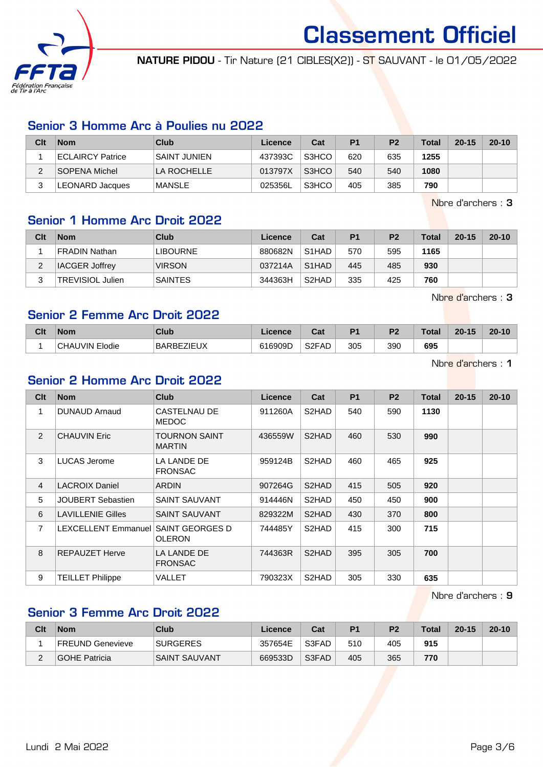

NATURE PIDOU - Tir Nature (21 CIBLES(X2)) - ST SAUVANT - le 01/05/2022

# Senior 3 Homme Arc à Poulies nu 2022

| Clt    | <b>Nom</b>             | Club                | Licence | Cat   | P <sub>1</sub> | P <sub>2</sub> | Total | $20 - 15$ | $20 - 10$ |
|--------|------------------------|---------------------|---------|-------|----------------|----------------|-------|-----------|-----------|
|        | ECLAIRCY Patrice       | <b>SAINT JUNIEN</b> | 437393C | S3HCO | 620            | 635            | 1255  |           |           |
| $\sim$ | SOPENA Michel          | LA ROCHELLE         | 013797X | S3HCO | 540            | 540            | 1080  |           |           |
|        | <b>LEONARD Jacques</b> | MANSLE              | 025356L | S3HCO | 405            | 385            | 790   |           |           |

Nbre d'archers : 3

# Senior 1 Homme Arc Droit 2022

| Clt | <b>Nom</b>              | Club            | Licence | Cat                | P <sub>1</sub> | P <sub>2</sub> | <b>Total</b> | $20 - 15$ | $20 - 10$ |
|-----|-------------------------|-----------------|---------|--------------------|----------------|----------------|--------------|-----------|-----------|
|     | FRADIN Nathan           | <b>LIBOURNE</b> | 880682N | S <sub>1</sub> HAD | 570            | 595            | 1165         |           |           |
| ົ   | <b>IACGER Joffrey</b>   | <b>VIRSON</b>   | 037214A | S <sub>1</sub> HAD | 445            | 485            | 930          |           |           |
| ◠   | <b>TREVISIOL Julien</b> | <b>SAINTES</b>  | 344363H | S <sub>2</sub> HAD | 335            | 425            | 760          |           |           |

Nbre d'archers : 3

### Senior 2 Femme Arc Droit 2022

| Clt | <b>Nom</b>                    | Club                                   | icence          | <b>r</b> ~<br>va.  | D.  | פם  |     | .15<br>20<br><b>ALC: YES</b> | $20 - 1^r$ |
|-----|-------------------------------|----------------------------------------|-----------------|--------------------|-----|-----|-----|------------------------------|------------|
|     | <b>IVIN</b><br>CHAI<br>Elodie | צו ובול־<br><b>BARBE</b><br>$-1 - 9/3$ | 16909D<br>C 4 C | S <sub>2</sub> FAD | 305 | 390 | 695 |                              |            |

Nbre d'archers : 1

# Senior 2 Homme Arc Droit 2022

| Clt            | <b>Nom</b>                 | <b>Club</b>                      | <b>Licence</b> | Cat                | P <sub>1</sub> | P <sub>2</sub> | Total | $20 - 15$ | $20 - 10$ |
|----------------|----------------------------|----------------------------------|----------------|--------------------|----------------|----------------|-------|-----------|-----------|
| 1              | DUNAUD Arnaud              | CASTELNAU DE<br><b>MEDOC</b>     | 911260A        | S2HAD              | 540            | 590            | 1130  |           |           |
| $\overline{2}$ | <b>CHAUVIN Eric</b>        | TOURNON SAINT<br><b>MARTIN</b>   | 436559W        | S <sub>2</sub> HAD | 460            | 530            | 990   |           |           |
| 3              | <b>LUCAS Jerome</b>        | LA LANDE DE<br><b>FRONSAC</b>    | 959124B        | S2HAD              | 460            | 465            | 925   |           |           |
| 4              | <b>LACROIX Daniel</b>      | <b>ARDIN</b>                     | 907264G        | S <sub>2</sub> HAD | 415            | 505            | 920   |           |           |
| 5              | <b>JOUBERT Sebastien</b>   | <b>SAINT SAUVANT</b>             | 914446N        | S2HAD              | 450            | 450            | 900   |           |           |
| 6              | <b>LAVILLENIE Gilles</b>   | <b>SAINT SAUVANT</b>             | 829322M        | S <sub>2</sub> HAD | 430            | 370            | 800   |           |           |
| 7              | <b>LEXCELLENT Emmanuel</b> | SAINT GEORGES D<br><b>OLERON</b> | 744485Y        | S2HAD              | 415            | 300            | 715   |           |           |
| 8              | <b>REPAUZET Herve</b>      | LA LANDE DE<br><b>FRONSAC</b>    | 744363R        | S <sub>2</sub> HAD | 395            | 305            | 700   |           |           |
| 9              | <b>TEILLET Philippe</b>    | VALLET                           | 790323X        | S <sub>2</sub> HAD | 305            | 330            | 635   |           |           |

Nbre d'archers : 9

# Senior 3 Femme Arc Droit 2022

| Clt | <b>Nom</b>       | Club                 | Licence | Cat   | P <sub>1</sub> | P <sub>2</sub> | <b>Total</b> | $20 - 15$ | $20 - 10$ |
|-----|------------------|----------------------|---------|-------|----------------|----------------|--------------|-----------|-----------|
|     | FREUND Genevieve | <b>SURGERES</b>      | 357654E | S3FAD | 510            | 405            | 915          |           |           |
| -   | GOHE Patricia    | <b>SAINT SAUVANT</b> | 669533D | S3FAD | 405            | 365            | 770          |           |           |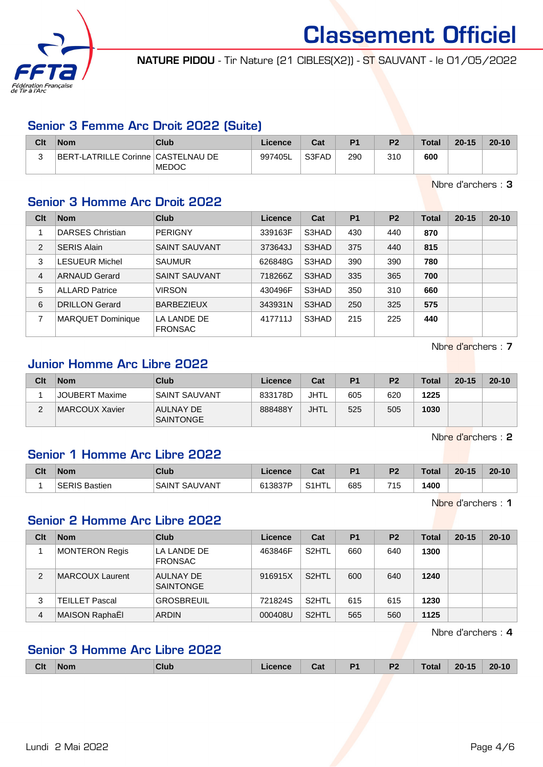

NATURE PIDOU - Tir Nature (21 CIBLES(X2)) - ST SAUVANT - le 01/05/2022

# Senior 3 Femme Arc Droit 2022 (Suite)

| Clt | <b>Nom</b>                         | Club          | Licence | Cat   | P <sub>1</sub> | P <sub>2</sub> | <b>Total</b> | $20 - 15$ | $20 - 10$ |
|-----|------------------------------------|---------------|---------|-------|----------------|----------------|--------------|-----------|-----------|
|     | BERT-LATRILLE Corinne CASTELNAU DE | <b>IMEDOC</b> | 997405L | S3FAD | 290            | 310            | 600          |           |           |

Nbre d'archers : 3

# Senior 3 Homme Arc Droit 2022

| Clt            | <b>Nom</b>               | <b>Club</b>                   | Licence | Cat   | <b>P1</b> | P <sub>2</sub> | <b>Total</b> | $20 - 15$ | $20 - 10$ |
|----------------|--------------------------|-------------------------------|---------|-------|-----------|----------------|--------------|-----------|-----------|
|                | <b>DARSES Christian</b>  | <b>PERIGNY</b>                | 339163F | S3HAD | 430       | 440            | 870          |           |           |
| $\overline{2}$ | <b>SERIS Alain</b>       | <b>SAINT SAUVANT</b>          | 373643J | S3HAD | 375       | 440            | 815          |           |           |
| 3              | <b>LESUEUR Michel</b>    | <b>SAUMUR</b>                 | 626848G | S3HAD | 390       | 390            | 780          |           |           |
| $\overline{4}$ | <b>ARNAUD Gerard</b>     | <b>SAINT SAUVANT</b>          | 718266Z | S3HAD | 335       | 365            | 700          |           |           |
| 5              | <b>ALLARD Patrice</b>    | <b>VIRSON</b>                 | 430496F | S3HAD | 350       | 310            | 660          |           |           |
| 6              | <b>DRILLON Gerard</b>    | <b>BARBEZIEUX</b>             | 343931N | S3HAD | 250       | 325            | 575          |           |           |
| 7              | <b>MARQUET Dominique</b> | LA LANDE DE<br><b>FRONSAC</b> | 417711J | S3HAD | 215       | 225            | 440          |           |           |

Nbre d'archers : 7

# Junior Homme Arc Libre 2022

| Clt    | <b>Nom</b>     | Club                                 | Licence | Cat  | P1  | P <sub>2</sub> | <b>Total</b> | $20 - 15$ | $20 - 10$ |
|--------|----------------|--------------------------------------|---------|------|-----|----------------|--------------|-----------|-----------|
|        | JOUBERT Maxime | <b>SAINT SAUVANT</b>                 | 833178D | JHTL | 605 | 620            | 1225         |           |           |
| ີ<br>∠ | MARCOUX Xavier | <b>AULNAY DE</b><br><b>SAINTONGE</b> | 888488Y | JHTL | 525 | 505            | 1030         |           |           |

Nbre d'archers : 2

# Senior 1 Homme Arc Libre 2022

| Clt | <b>Nom</b>    | Club             | Licence | <b>r</b> ~<br>ual                             | D <sub>1</sub> | D <sub>2</sub> | Total | $20 - 15$ | $20 - 10$ |
|-----|---------------|------------------|---------|-----------------------------------------------|----------------|----------------|-------|-----------|-----------|
|     | SERIS Bastien | SAINT<br>SAUVANT | 613837P | . HTL<br>$\mathsf{C4}^{\star}$<br>ᄀᆝᄂ<br>۱۱ ت | 685            | 715            | 400   |           |           |

Nbre d'archers : 1

### Senior 2 Homme Arc Libre 2022

| Clt | <b>Nom</b>            | Club                                 | Licence | Cat                | P <sub>1</sub> | P <sub>2</sub> | Total | $20 - 15$ | $20 - 10$ |
|-----|-----------------------|--------------------------------------|---------|--------------------|----------------|----------------|-------|-----------|-----------|
|     | MONTERON Regis        | LA LANDE DE<br><b>FRONSAC</b>        | 463846F | S <sub>2</sub> HTL | 660            | 640            | 1300  |           |           |
| 2   | MARCOUX Laurent       | <b>AULNAY DE</b><br><b>SAINTONGE</b> | 916915X | S <sub>2</sub> HTL | 600            | 640            | 1240  |           |           |
| 3   | <b>TEILLET Pascal</b> | <b>GROSBREUIL</b>                    | 721824S | S <sub>2</sub> HTL | 615            | 615            | 1230  |           |           |
| 4   | MAISON RaphaËl        | <b>ARDIN</b>                         | 000408U | S <sub>2</sub> HTL | 565            | 560            | 1125  |           |           |

Nbre d'archers : 4

# Senior 3 Homme Arc Libre 2022

| <b>Clt</b> | <b>Nom</b> | Club | icence | Cat | D <sub>1</sub><br>. . | P <sub>2</sub><br>$\sim$ | Total | $20 - 15$<br>__ | $20 - 10$ |
|------------|------------|------|--------|-----|-----------------------|--------------------------|-------|-----------------|-----------|
|            |            |      |        |     |                       |                          |       |                 |           |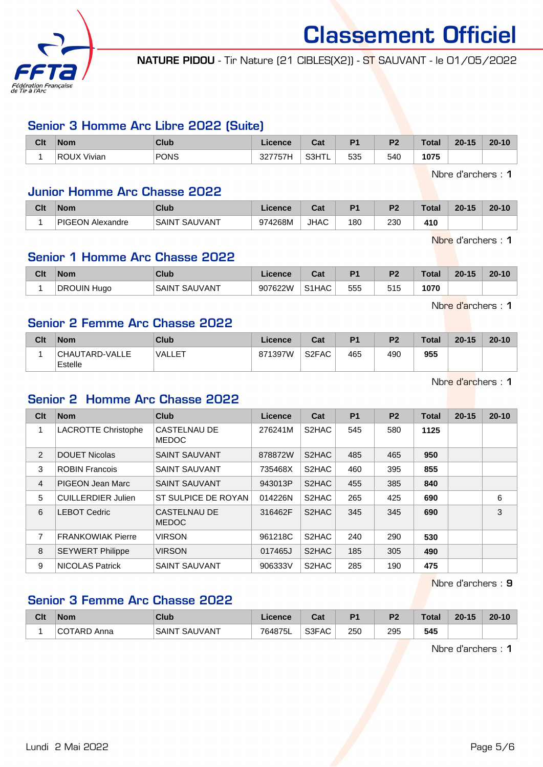

NATURE PIDOU - Tir Nature (21 CIBLES(X2)) - ST SAUVANT - le 01/05/2022

# Senior 3 Homme Arc Libre 2022 (Suite)

| Clt | <b>Nom</b>         | <b>Club</b> | Licence                    | Cat   | D <sub>4</sub> | ng. | <b>Total</b> | $20 - 15$ | $20 - 10$ |
|-----|--------------------|-------------|----------------------------|-------|----------------|-----|--------------|-----------|-----------|
|     | <b>ROUX Vivian</b> | PONS        | 77771.<br>ה ה<br>. ، ، ، ک | S3HTL | 535            | 540 | 1075         |           |           |

Nbre d'archers : 1

#### Junior Homme Arc Chasse 2022

| Clt | <b>Nom</b>       | Club                    | <b>Licence</b> | ⊍a⊧         | P <sub>1</sub> | פם  | Total | $20 - 15$ | $20 - 10$ |
|-----|------------------|-------------------------|----------------|-------------|----------------|-----|-------|-----------|-----------|
|     | PIGEON Alexandre | SAUVANT<br><b>SAINT</b> | 974268M        | <b>JHAC</b> | 180            | 230 | 410   |           |           |

Nbre d'archers : 1

# Senior 1 Homme Arc Chasse 2022

| Clt | <b>Nom</b>  | Club               | Licence | $R_{\alpha\beta}$<br>⊍a | D <sub>4</sub> | D <sub>2</sub> | <b>Total</b> | $20 - 15$ | $20 - 10$ |
|-----|-------------|--------------------|---------|-------------------------|----------------|----------------|--------------|-----------|-----------|
|     | DROUIN Hugo | ، SAUVANT<br>SAINT | 907622W | S1HAC                   | 555            | 515            | 1070         |           |           |

Nbre d'archers : 1

### Senior 2 Femme Arc Chasse 2022

| Clt | <b>Nom</b>                | Club          | Licence | Cat                | P <sub>1</sub> | P <sub>2</sub> | <b>Total</b> | $20 - 15$ | $20 - 10$ |
|-----|---------------------------|---------------|---------|--------------------|----------------|----------------|--------------|-----------|-----------|
|     | CHAUTARD-VALLE<br>Estelle | <b>VALLET</b> | 871397W | S <sub>2</sub> FAC | 465            | 490            | 955          |           |           |

Nbre d'archers : 1

### Senior 2 Homme Arc Chasse 2022

| Clt            | <b>Nom</b>                 | <b>Club</b>                         | Licence | Cat                | P <sub>1</sub> | P <sub>2</sub> | <b>Total</b> | $20 - 15$ | $20 - 10$ |
|----------------|----------------------------|-------------------------------------|---------|--------------------|----------------|----------------|--------------|-----------|-----------|
|                | <b>LACROTTE Christophe</b> | CASTELNAU DE<br><b>MEDOC</b>        | 276241M | S2HAC              | 545            | 580            | 1125         |           |           |
| $\overline{2}$ | <b>DOUET Nicolas</b>       | <b>SAINT SAUVANT</b>                | 878872W | S <sub>2</sub> HAC | 485            | 465            | 950          |           |           |
| 3              | <b>ROBIN Francois</b>      | <b>SAINT SAUVANT</b>                | 735468X | S2HAC              | 460            | 395            | 855          |           |           |
| 4              | PIGEON Jean Marc           | <b>SAINT SAUVANT</b>                | 943013P | S2HAC              | 455            | 385            | 840          |           |           |
| 5              | <b>CUILLERDIER Julien</b>  | ST SULPICE DE ROYAN                 | 014226N | S2HAC              | 265            | 425            | 690          |           | 6         |
| 6              | <b>LEBOT Cedric</b>        | <b>CASTELNAU DE</b><br><b>MEDOC</b> | 316462F | S2HAC              | 345            | 345            | 690          |           | 3         |
| 7              | <b>FRANKOWIAK Pierre</b>   | <b>VIRSON</b>                       | 961218C | S <sub>2</sub> HAC | 240            | 290            | 530          |           |           |
| 8              | <b>SEYWERT Philippe</b>    | <b>VIRSON</b>                       | 017465J | S2HAC              | 185            | 305            | 490          |           |           |
| 9              | <b>NICOLAS Patrick</b>     | <b>SAINT SAUVANT</b>                | 906333V | S2HAC              | 285            | 190            | 475          |           |           |

Nbre d'archers : 9

# Senior 3 Femme Arc Chasse 2022

| Clt | <b>Nom</b>             | <b>Club</b>             | Licence | $\sim$<br>ual | D <sub>1</sub> | D <sub>2</sub> | Total | $20 - 15$ | $20 - 10$ |
|-----|------------------------|-------------------------|---------|---------------|----------------|----------------|-------|-----------|-----------|
|     | $\sim$<br>ARD.<br>Anna | <b>SAUVANT</b><br>SAINT | 764875L | S3FAC         | 250            | 295<br>__      | 545   |           |           |

Nbre d'archers : 1